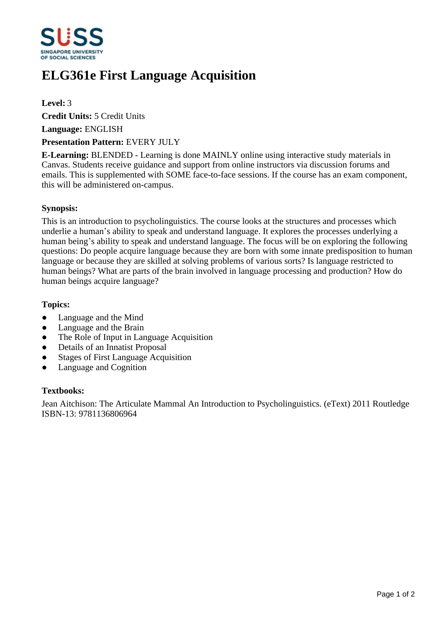

# **ELG361e First Language Acquisition**

## **Level:** 3

**Credit Units:** 5 Credit Units

**Language:** ENGLISH

#### **Presentation Pattern:** EVERY JULY

**E-Learning:** BLENDED - Learning is done MAINLY online using interactive study materials in Canvas. Students receive guidance and support from online instructors via discussion forums and emails. This is supplemented with SOME face-to-face sessions. If the course has an exam component, this will be administered on-campus.

#### **Synopsis:**

This is an introduction to psycholinguistics. The course looks at the structures and processes which underlie a human's ability to speak and understand language. It explores the processes underlying a human being's ability to speak and understand language. The focus will be on exploring the following questions: Do people acquire language because they are born with some innate predisposition to human language or because they are skilled at solving problems of various sorts? Is language restricted to human beings? What are parts of the brain involved in language processing and production? How do human beings acquire language?

#### **Topics:**

- Language and the Mind
- Language and the Brain
- The Role of Input in Language Acquisition
- Details of an Innatist Proposal
- Stages of First Language Acquisition
- Language and Cognition

## **Textbooks:**

Jean Aitchison: The Articulate Mammal An Introduction to Psycholinguistics. (eText) 2011 Routledge ISBN-13: 9781136806964